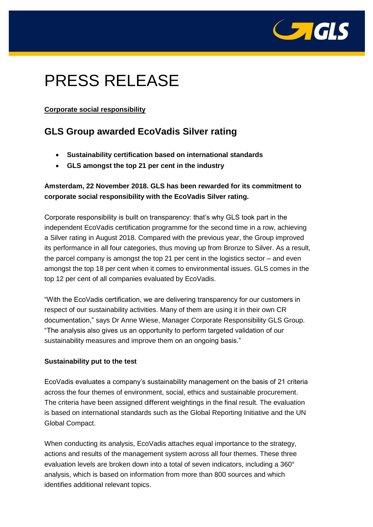

# PRESS RELEASE

## **Corporate social responsibility**

# **GLS Group awarded EcoVadis Silver rating**

- **Sustainability certification based on international standards**
- **GLS amongst the top 21 per cent in the industry**

# **Amsterdam, 22 November 2018. GLS has been rewarded for its commitment to corporate social responsibility with the EcoVadis Silver rating.**

Corporate responsibility is built on transparency: that's why GLS took part in the independent EcoVadis certification programme for the second time in a row, achieving a Silver rating in August 2018. Compared with the previous year, the Group improved its performance in all four categories, thus moving up from Bronze to Silver. As a result, the parcel company is amongst the top 21 per cent in the logistics sector – and even amongst the top 18 per cent when it comes to environmental issues. GLS comes in the top 12 per cent of all companies evaluated by EcoVadis.

"With the EcoVadis certification, we are delivering transparency for our customers in respect of our sustainability activities. Many of them are using it in their own CR documentation," says Dr Anne Wiese, Manager Corporate Responsibility GLS Group. "The analysis also gives us an opportunity to perform targeted validation of our sustainability measures and improve them on an ongoing basis."

## **Sustainability put to the test**

EcoVadis evaluates a company's sustainability management on the basis of 21 criteria across the four themes of environment, social, ethics and sustainable procurement. The criteria have been assigned different weightings in the final result. The evaluation is based on international standards such as the Global Reporting Initiative and the UN Global Compact.

When conducting its analysis, EcoVadis attaches equal importance to the strategy, actions and results of the management system across all four themes. These three evaluation levels are broken down into a total of seven indicators, including a 360° analysis, which is based on information from more than 800 sources and which identifies additional relevant topics.